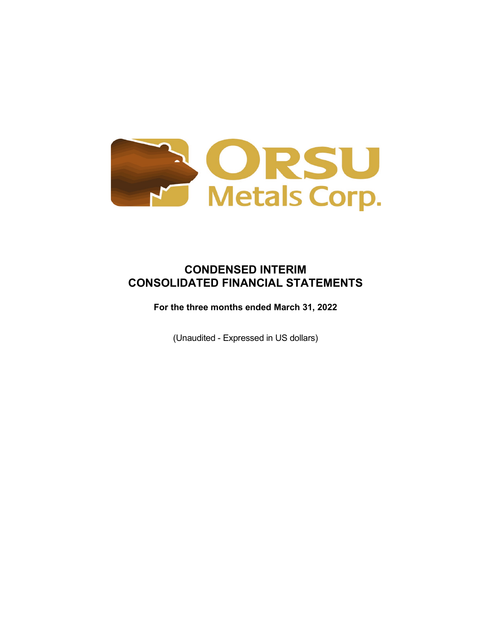

# **CONDENSED INTERIM CONSOLIDATED FINANCIAL STATEMENTS**

**For the three months ended March 31, 2022**

(Unaudited - Expressed in US dollars)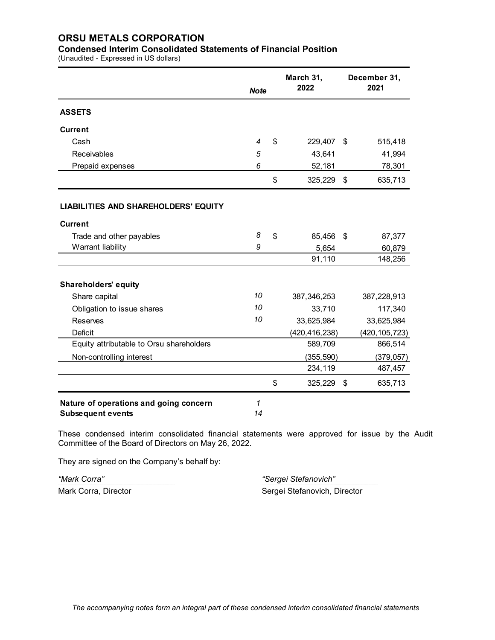### **Condensed Interim Consolidated Statements of Financial Position**

(Unaudited - Expressed in US dollars)

|                                             | <b>Note</b> | March 31,<br>2022 | December 31,<br>2021 |                 |  |
|---------------------------------------------|-------------|-------------------|----------------------|-----------------|--|
| <b>ASSETS</b>                               |             |                   |                      |                 |  |
| <b>Current</b>                              |             |                   |                      |                 |  |
| Cash                                        | 4           | \$<br>229,407     | \$                   | 515,418         |  |
| Receivables                                 | 5           | 43,641            |                      | 41,994          |  |
| Prepaid expenses                            | 6           | 52,181            |                      | 78,301          |  |
|                                             |             | \$<br>325,229     | \$                   | 635,713         |  |
| <b>LIABILITIES AND SHAREHOLDERS' EQUITY</b> |             |                   |                      |                 |  |
| <b>Current</b>                              |             |                   |                      |                 |  |
| Trade and other payables                    | 8           | \$<br>85,456      | \$                   | 87,377          |  |
| Warrant liability                           | 9           | 5,654             |                      | 60,879          |  |
|                                             |             | 91,110            |                      | 148,256         |  |
| <b>Shareholders' equity</b>                 |             |                   |                      |                 |  |
| Share capital                               | 10          | 387,346,253       |                      | 387,228,913     |  |
| Obligation to issue shares                  | 10          | 33,710            |                      | 117,340         |  |
| <b>Reserves</b>                             | 10          | 33,625,984        |                      | 33,625,984      |  |
| <b>Deficit</b>                              |             | (420, 416, 238)   |                      | (420, 105, 723) |  |
| Equity attributable to Orsu shareholders    |             | 589,709           |                      | 866,514         |  |
| Non-controlling interest                    |             | (355, 590)        |                      | (379, 057)      |  |
|                                             |             | 234,119           |                      | 487,457         |  |
|                                             |             | \$<br>325,229     | \$                   | 635,713         |  |
| Nature of operations and going concern      | 1           |                   |                      |                 |  |
| <b>Subsequent events</b>                    | 14          |                   |                      |                 |  |

These condensed interim consolidated financial statements were approved for issue by the Audit Committee of the Board of Directors on May 26, 2022.

They are signed on the Company's behalf by:

*"Mark Corra" "Sergei Stefanovich"* ------------------------------------------------------------------------------------------------------------------------------------------------- ------------------------------------------------------------------------------------------------------------------------------------------------ Mark Corra, Director **Sergei Stefanovich, Director** Sergei Stefanovich, Director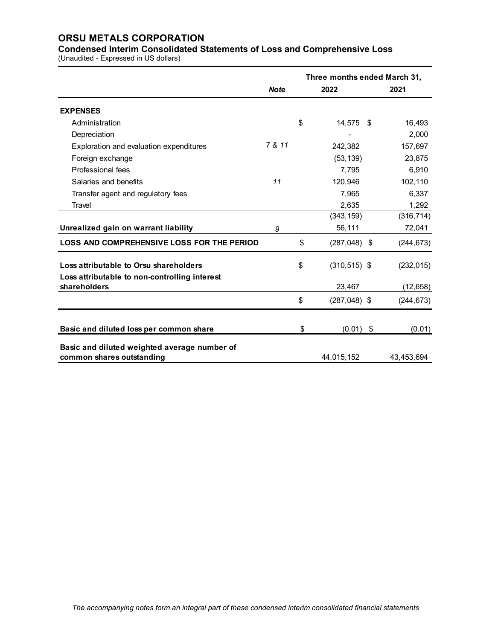**Condensed Interim Consolidated Statements of Loss and Comprehensive Loss** (Unaudited - Expressed in US dollars)

|                                                                                         |             | Three months ended March 31, |            |  |  |  |  |  |
|-----------------------------------------------------------------------------------------|-------------|------------------------------|------------|--|--|--|--|--|
|                                                                                         | <b>Note</b> | 2022                         | 2021       |  |  |  |  |  |
| <b>EXPENSES</b>                                                                         |             |                              |            |  |  |  |  |  |
| Administration                                                                          |             | \$<br>14,575 \$              | 16,493     |  |  |  |  |  |
| Depreciation                                                                            |             |                              | 2,000      |  |  |  |  |  |
| Exploration and evaluation expenditures                                                 | 7 & 11      | 242,382                      | 157,697    |  |  |  |  |  |
| Foreign exchange                                                                        |             | (53, 139)                    | 23,875     |  |  |  |  |  |
| Professional fees                                                                       |             | 7,795                        | 6,910      |  |  |  |  |  |
| Salaries and benefits                                                                   | 11          | 120,946                      | 102,110    |  |  |  |  |  |
| Transfer agent and regulatory fees                                                      |             | 7,965                        | 6,337      |  |  |  |  |  |
| Travel                                                                                  |             | 2,635                        | 1,292      |  |  |  |  |  |
|                                                                                         |             | (343, 159)                   | (316, 714) |  |  |  |  |  |
| Unrealized gain on warrant liability                                                    | 9           | 56,111                       | 72,041     |  |  |  |  |  |
| <b>LOSS AND COMPREHENSIVE LOSS FOR THE PERIOD</b>                                       |             | \$<br>$(287,048)$ \$         | (244, 673) |  |  |  |  |  |
| Loss attributable to Orsu shareholders<br>Loss attributable to non-controlling interest |             | \$<br>$(310, 515)$ \$        | (232, 015) |  |  |  |  |  |
| shareholders                                                                            |             | 23,467                       | (12, 658)  |  |  |  |  |  |
|                                                                                         |             | \$<br>$(287,048)$ \$         | (244, 673) |  |  |  |  |  |
| Basic and diluted loss per common share                                                 |             | \$<br>$(0.01)$ \$            | (0.01)     |  |  |  |  |  |
|                                                                                         |             |                              |            |  |  |  |  |  |
| Basic and diluted weighted average number of                                            |             |                              |            |  |  |  |  |  |
| common shares outstanding                                                               |             | 44,015,152                   | 43,453,694 |  |  |  |  |  |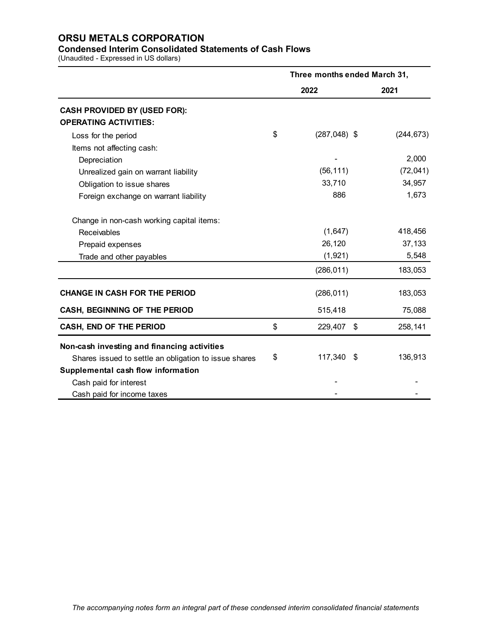## **Condensed Interim Consolidated Statements of Cash Flows**

(Unaudited - Expressed in US dollars)

|                                                       | Three months ended March 31, |            |  |  |  |  |
|-------------------------------------------------------|------------------------------|------------|--|--|--|--|
|                                                       | 2022                         | 2021       |  |  |  |  |
| <b>CASH PROVIDED BY (USED FOR):</b>                   |                              |            |  |  |  |  |
| <b>OPERATING ACTIVITIES:</b>                          |                              |            |  |  |  |  |
| Loss for the period                                   | \$<br>$(287, 048)$ \$        | (244, 673) |  |  |  |  |
| Items not affecting cash:                             |                              |            |  |  |  |  |
| Depreciation                                          |                              | 2,000      |  |  |  |  |
| Unrealized gain on warrant liability                  | (56, 111)                    | (72, 041)  |  |  |  |  |
| Obligation to issue shares                            | 33,710                       | 34,957     |  |  |  |  |
| Foreign exchange on warrant liability                 | 886                          | 1,673      |  |  |  |  |
| Change in non-cash working capital items:             |                              |            |  |  |  |  |
| Receivables                                           | (1,647)                      | 418,456    |  |  |  |  |
| Prepaid expenses                                      | 26,120                       | 37,133     |  |  |  |  |
| Trade and other payables                              | (1,921)                      | 5,548      |  |  |  |  |
|                                                       | (286, 011)                   | 183,053    |  |  |  |  |
| <b>CHANGE IN CASH FOR THE PERIOD</b>                  | (286, 011)                   | 183,053    |  |  |  |  |
| <b>CASH, BEGINNING OF THE PERIOD</b>                  | 515,418                      | 75,088     |  |  |  |  |
| CASH, END OF THE PERIOD                               | \$<br>229,407<br>\$          | 258,141    |  |  |  |  |
| Non-cash investing and financing activities           |                              |            |  |  |  |  |
| Shares issued to settle an obligation to issue shares | \$<br>117,340<br>- \$        | 136,913    |  |  |  |  |
| Supplemental cash flow information                    |                              |            |  |  |  |  |
| Cash paid for interest                                |                              |            |  |  |  |  |
| Cash paid for income taxes                            |                              |            |  |  |  |  |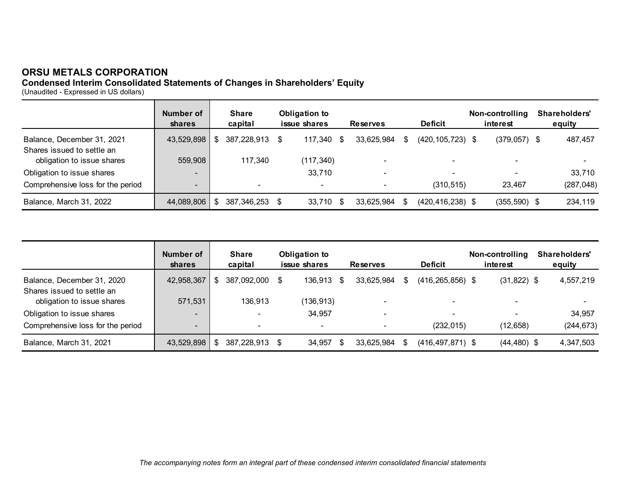## **Condensed Interim Consolidated Statements of Changes in Shareholders' Equity**

(Unaudited - Expressed in US dollars)

|                                   | Number of<br><b>shares</b> |     | <b>Share</b><br>capital  | Obligation to<br>issue shares<br><b>Deficit</b><br><b>Reserves</b> |            | Non-controlling<br>interest | Shareholders'<br>equity |     |                      |                          |            |
|-----------------------------------|----------------------------|-----|--------------------------|--------------------------------------------------------------------|------------|-----------------------------|-------------------------|-----|----------------------|--------------------------|------------|
| Balance, December 31, 2021        | 43,529,898                 | \$  | 387,228,913              |                                                                    | 117.340    | - \$                        | 33.625.984              | SS. | $(420, 105, 723)$ \$ | $(379,057)$ \$           | 487,457    |
| Shares issued to settle an        |                            |     |                          |                                                                    |            |                             |                         |     |                      |                          |            |
| obligation to issue shares        | 559,908                    |     | 117,340                  |                                                                    | (117, 340) |                             |                         |     |                      | $\overline{\phantom{0}}$ |            |
| Obligation to issue shares        | $\overline{\phantom{0}}$   |     |                          |                                                                    | 33,710     |                             |                         |     |                      | $\overline{\phantom{0}}$ | 33,710     |
| Comprehensive loss for the period | $\overline{\phantom{a}}$   |     | $\overline{\phantom{0}}$ |                                                                    | -          |                             |                         |     | (310, 515)           | 23.467                   | (287, 048) |
| Balance, March 31, 2022           | 44,089,806                 | -SG | 387,346,253              | - \$                                                               | 33,710     | - \$                        | 33,625,984              |     | $(420, 416, 238)$ \$ | $(355, 590)$ \$          | 234,119    |

|                                                          | Number of<br><b>shares</b> |     | <b>Share</b><br>capital |      | <b>Obligation to</b><br>issue shares |    | <b>Deficit</b><br><b>Reserves</b> |  | Non-controlling<br>interest |                | Shareholders'<br>equity |            |
|----------------------------------------------------------|----------------------------|-----|-------------------------|------|--------------------------------------|----|-----------------------------------|--|-----------------------------|----------------|-------------------------|------------|
| Balance, December 31, 2020<br>Shares issued to settle an | 42,958,367                 | \$. | 387,092,000             | - \$ | 136.913                              | -S | 33.625.984                        |  | $(416, 265, 856)$ \$        | $(31,822)$ \$  |                         | 4,557,219  |
| obligation to issue shares                               | 571,531                    |     | 136.913                 |      | (136,913)                            |    |                                   |  |                             |                |                         |            |
| Obligation to issue shares                               | $\overline{\phantom{a}}$   |     |                         |      | 34,957                               |    | -                                 |  |                             |                |                         | 34.957     |
| Comprehensive loss for the period                        | $\overline{\phantom{0}}$   |     |                         |      | -                                    |    |                                   |  | (232, 015)                  | (12, 658)      |                         | (244, 673) |
| Balance, March 31, 2021                                  | 43,529,898                 |     | 387,228,913             |      | 34.957                               | -S | 33,625,984                        |  | $(416, 497, 871)$ \$        | $(44, 480)$ \$ |                         | 4,347,503  |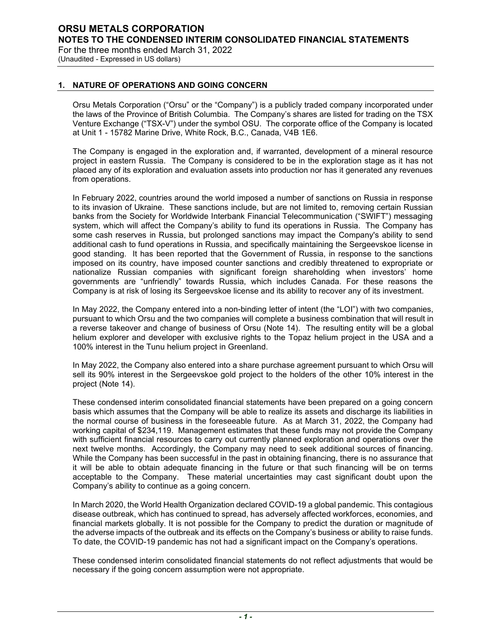(Unaudited - Expressed in US dollars)

### **1. NATURE OF OPERATIONS AND GOING CONCERN**

Orsu Metals Corporation ("Orsu" or the "Company") is a publicly traded company incorporated under the laws of the Province of British Columbia. The Company's shares are listed for trading on the TSX Venture Exchange ("TSX-V") under the symbol OSU. The corporate office of the Company is located at Unit 1 - 15782 Marine Drive, White Rock, B.C., Canada, V4B 1E6.

The Company is engaged in the exploration and, if warranted, development of a mineral resource project in eastern Russia. The Company is considered to be in the exploration stage as it has not placed any of its exploration and evaluation assets into production nor has it generated any revenues from operations.

In February 2022, countries around the world imposed a number of sanctions on Russia in response to its invasion of Ukraine. These sanctions include, but are not limited to, removing certain Russian banks from the Society for Worldwide Interbank Financial Telecommunication ("SWIFT") messaging system, which will affect the Company's ability to fund its operations in Russia. The Company has some cash reserves in Russia, but prolonged sanctions may impact the Company's ability to send additional cash to fund operations in Russia, and specifically maintaining the Sergeevskoe license in good standing. It has been reported that the Government of Russia, in response to the sanctions imposed on its country, have imposed counter sanctions and credibly threatened to expropriate or nationalize Russian companies with significant foreign shareholding when investors' home governments are "unfriendly" towards Russia, which includes Canada. For these reasons the Company is at risk of losing its Sergeevskoe license and its ability to recover any of its investment.

In May 2022, the Company entered into a non-binding letter of intent (the "LOI") with two companies, pursuant to which Orsu and the two companies will complete a business combination that will result in a reverse takeover and change of business of Orsu (Note 14). The resulting entity will be a global helium explorer and developer with exclusive rights to the Topaz helium project in the USA and a 100% interest in the Tunu helium project in Greenland.

In May 2022, the Company also entered into a share purchase agreement pursuant to which Orsu will sell its 90% interest in the Sergeevskoe gold project to the holders of the other 10% interest in the project (Note 14).

These condensed interim consolidated financial statements have been prepared on a going concern basis which assumes that the Company will be able to realize its assets and discharge its liabilities in the normal course of business in the foreseeable future. As at March 31, 2022, the Company had working capital of \$234,119. Management estimates that these funds may not provide the Company with sufficient financial resources to carry out currently planned exploration and operations over the next twelve months. Accordingly, the Company may need to seek additional sources of financing. While the Company has been successful in the past in obtaining financing, there is no assurance that it will be able to obtain adequate financing in the future or that such financing will be on terms acceptable to the Company. These material uncertainties may cast significant doubt upon the Company's ability to continue as a going concern.

In March 2020, the World Health Organization declared COVID-19 a global pandemic. This contagious disease outbreak, which has continued to spread, has adversely affected workforces, economies, and financial markets globally. It is not possible for the Company to predict the duration or magnitude of the adverse impacts of the outbreak and its effects on the Company's business or ability to raise funds. To date, the COVID-19 pandemic has not had a significant impact on the Company's operations.

These condensed interim consolidated financial statements do not reflect adjustments that would be necessary if the going concern assumption were not appropriate.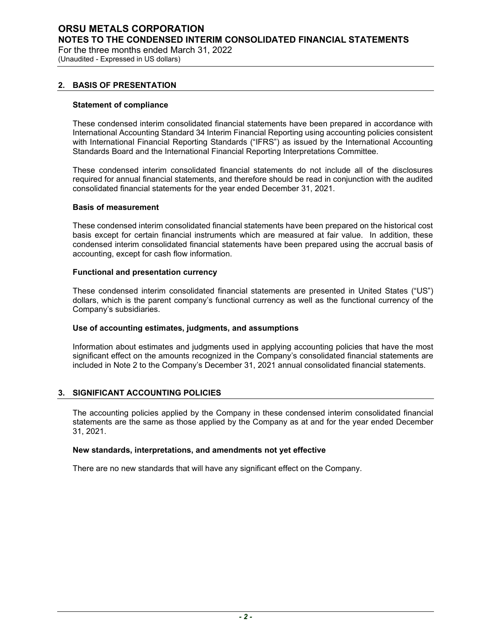# **ORSU METALS CORPORATION NOTES TO THE CONDENSED INTERIM CONSOLIDATED FINANCIAL STATEMENTS**

For the three months ended March 31, 2022 (Unaudited - Expressed in US dollars)

### **2. BASIS OF PRESENTATION**

### **Statement of compliance**

These condensed interim consolidated financial statements have been prepared in accordance with International Accounting Standard 34 Interim Financial Reporting using accounting policies consistent with International Financial Reporting Standards ("IFRS") as issued by the International Accounting Standards Board and the International Financial Reporting Interpretations Committee.

These condensed interim consolidated financial statements do not include all of the disclosures required for annual financial statements, and therefore should be read in conjunction with the audited consolidated financial statements for the year ended December 31, 2021.

### **Basis of measurement**

These condensed interim consolidated financial statements have been prepared on the historical cost basis except for certain financial instruments which are measured at fair value. In addition, these condensed interim consolidated financial statements have been prepared using the accrual basis of accounting, except for cash flow information.

### **Functional and presentation currency**

These condensed interim consolidated financial statements are presented in United States ("US") dollars, which is the parent company's functional currency as well as the functional currency of the Company's subsidiaries.

### **Use of accounting estimates, judgments, and assumptions**

Information about estimates and judgments used in applying accounting policies that have the most significant effect on the amounts recognized in the Company's consolidated financial statements are included in Note 2 to the Company's December 31, 2021 annual consolidated financial statements.

### **3. SIGNIFICANT ACCOUNTING POLICIES**

The accounting policies applied by the Company in these condensed interim consolidated financial statements are the same as those applied by the Company as at and for the year ended December 31, 2021.

### **New standards, interpretations, and amendments not yet effective**

There are no new standards that will have any significant effect on the Company.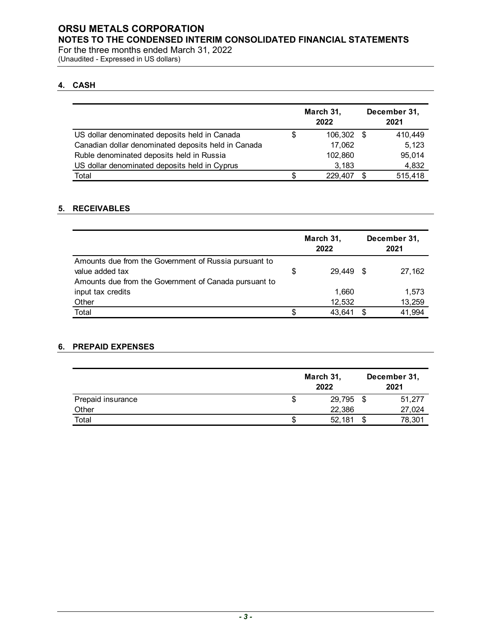**NOTES TO THE CONDENSED INTERIM CONSOLIDATED FINANCIAL STATEMENTS**

For the three months ended March 31, 2022 (Unaudited - Expressed in US dollars)

## **4. CASH**

|                                                     | March 31,<br>2022 | December 31,<br>2021 |         |  |
|-----------------------------------------------------|-------------------|----------------------|---------|--|
| US dollar denominated deposits held in Canada       | \$<br>106.302     | - \$                 | 410,449 |  |
| Canadian dollar denominated deposits held in Canada | 17,062            |                      | 5.123   |  |
| Ruble denominated deposits held in Russia           | 102,860           |                      | 95,014  |  |
| US dollar denominated deposits held in Cyprus       | 3,183             |                      | 4,832   |  |
| Total                                               | 229.407           | \$.                  | 515,418 |  |

### **5. RECEIVABLES**

|                                                       | March 31, |        |      |        |
|-------------------------------------------------------|-----------|--------|------|--------|
| Amounts due from the Government of Russia pursuant to |           |        |      |        |
| value added tax                                       | \$        | 29.449 | - \$ | 27,162 |
| Amounts due from the Government of Canada pursuant to |           |        |      |        |
| input tax credits                                     |           | 1.660  |      | 1,573  |
| Other                                                 |           | 12,532 |      | 13,259 |
| Total                                                 | \$        | 43.641 |      | 41,994 |

## **6. PREPAID EXPENSES**

|                   |    | March 31,<br>2022 | December 31,<br>2021 |        |  |
|-------------------|----|-------------------|----------------------|--------|--|
| Prepaid insurance | S  | 29,795            | \$                   | 51.277 |  |
| Other             |    | 22,386            |                      | 27,024 |  |
| Total             | \$ | 52,181            |                      | 78,301 |  |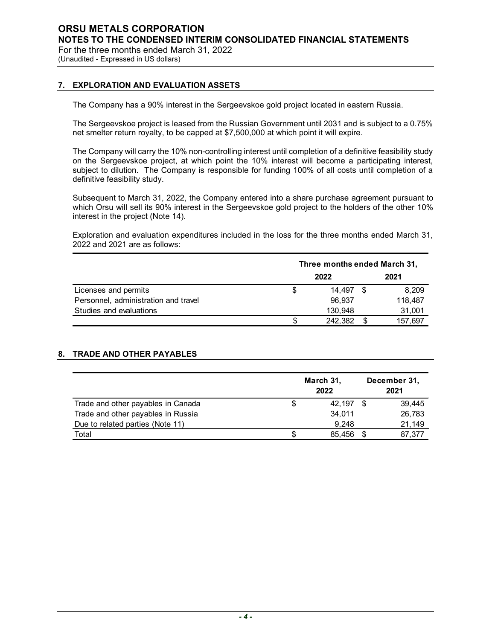(Unaudited - Expressed in US dollars)

### **7. EXPLORATION AND EVALUATION ASSETS**

The Company has a 90% interest in the Sergeevskoe gold project located in eastern Russia.

The Sergeevskoe project is leased from the Russian Government until 2031 and is subject to a 0.75% net smelter return royalty, to be capped at \$7,500,000 at which point it will expire.

The Company will carry the 10% non-controlling interest until completion of a definitive feasibility study on the Sergeevskoe project, at which point the 10% interest will become a participating interest, subject to dilution. The Company is responsible for funding 100% of all costs until completion of a definitive feasibility study.

Subsequent to March 31, 2022, the Company entered into a share purchase agreement pursuant to which Orsu will sell its 90% interest in the Sergeevskoe gold project to the holders of the other 10% interest in the project (Note 14).

Exploration and evaluation expenditures included in the loss for the three months ended March 31, 2022 and 2021 are as follows:

|                                      |   | Three months ended March 31, |  |         |  |  |  |  |  |  |
|--------------------------------------|---|------------------------------|--|---------|--|--|--|--|--|--|
|                                      |   | 2021                         |  |         |  |  |  |  |  |  |
| Licenses and permits                 | S | 14.497                       |  | 8,209   |  |  |  |  |  |  |
| Personnel, administration and travel |   | 96.937                       |  | 118,487 |  |  |  |  |  |  |
| Studies and evaluations              |   | 130.948                      |  | 31,001  |  |  |  |  |  |  |
|                                      | S | 242.382                      |  | 157.697 |  |  |  |  |  |  |

### **8. TRADE AND OTHER PAYABLES**

|                                    |   | March 31,<br>2022 | December 31,<br>2021 |        |  |
|------------------------------------|---|-------------------|----------------------|--------|--|
| Trade and other payables in Canada | S | 42.197            |                      | 39.445 |  |
| Trade and other payables in Russia |   | 34.011            |                      | 26,783 |  |
| Due to related parties (Note 11)   |   | 9.248             |                      | 21,149 |  |
| Total                              | S | 85.456            |                      | 87.377 |  |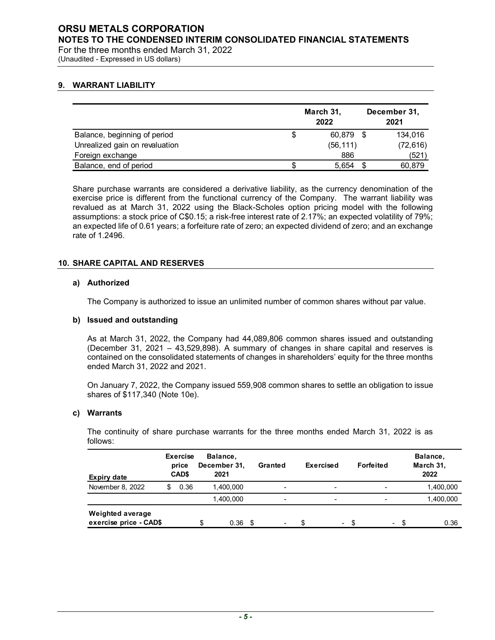## **ORSU METALS CORPORATION NOTES TO THE CONDENSED INTERIM CONSOLIDATED FINANCIAL STATEMENTS**

For the three months ended March 31, 2022 (Unaudited - Expressed in US dollars)

### **9. WARRANT LIABILITY**

|                                |    | March 31,<br>2022 |     | December 31,<br>2021 |  |  |
|--------------------------------|----|-------------------|-----|----------------------|--|--|
| Balance, beginning of period   | \$ | 60,879            | -\$ | 134,016              |  |  |
| Unrealized gain on revaluation |    | (56, 111)         |     | (72, 616)            |  |  |
| Foreign exchange               |    | 886               |     | (521)                |  |  |
| Balance, end of period         | S  | 5.654             |     | 60,879               |  |  |

Share purchase warrants are considered a derivative liability, as the currency denomination of the exercise price is different from the functional currency of the Company. The warrant liability was revalued as at March 31, 2022 using the Black-Scholes option pricing model with the following assumptions: a stock price of C\$0.15; a risk-free interest rate of 2.17%; an expected volatility of 79%; an expected life of 0.61 years; a forfeiture rate of zero; an expected dividend of zero; and an exchange rate of 1.2496.

### **10. SHARE CAPITAL AND RESERVES**

### **a) Authorized**

The Company is authorized to issue an unlimited number of common shares without par value.

### **b) Issued and outstanding**

As at March 31, 2022, the Company had 44,089,806 common shares issued and outstanding (December 31, 2021 – 43,529,898). A summary of changes in share capital and reserves is contained on the consolidated statements of changes in shareholders' equity for the three months ended March 31, 2022 and 2021.

On January 7, 2022, the Company issued 559,908 common shares to settle an obligation to issue shares of \$117,340 (Note 10e).

### **c) Warrants**

The continuity of share purchase warrants for the three months ended March 31, 2022 is as follows:

| <b>Expiry date</b>                         | <b>Exercise</b><br>price<br>CAD\$ | Balance,<br>December 31,<br>2021 |    | Granted                  | Exercised                | Forfeited      | Balance,<br>March 31,<br>2022 |
|--------------------------------------------|-----------------------------------|----------------------------------|----|--------------------------|--------------------------|----------------|-------------------------------|
| November 8, 2022                           | 0.36                              | 1.400.000                        |    | $\overline{\phantom{0}}$ | $\overline{\phantom{a}}$ | -              | 1,400,000                     |
|                                            |                                   | 1,400,000                        |    | ٠                        | $\overline{\phantom{0}}$ |                | 1,400,000                     |
| Weighted average<br>exercise price - CAD\$ |                                   | 0.36                             | £. | -                        | $\blacksquare$           | $\blacksquare$ | 0.36                          |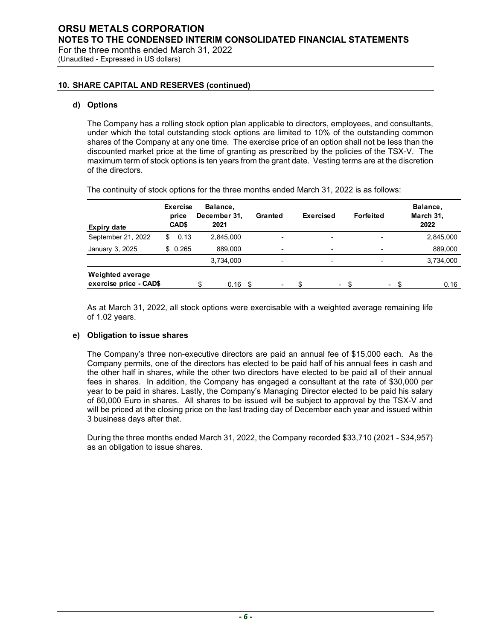For the three months ended March 31, 2022 (Unaudited - Expressed in US dollars)

### **10. SHARE CAPITAL AND RESERVES (continued)**

### **d) Options**

The Company has a rolling stock option plan applicable to directors, employees, and consultants, under which the total outstanding stock options are limited to 10% of the outstanding common shares of the Company at any one time. The exercise price of an option shall not be less than the discounted market price at the time of granting as prescribed by the policies of the TSX-V. The maximum term of stock options is ten years from the grant date. Vesting terms are at the discretion of the directors.

| Expiry date                                       | <b>Exercise</b><br>price<br>CAD\$ | Balance,<br>December 31,<br>2021 |     | Granted                  | Exercised | Forfeited                | Balance,<br>March 31,<br>2022 |
|---------------------------------------------------|-----------------------------------|----------------------------------|-----|--------------------------|-----------|--------------------------|-------------------------------|
| September 21, 2022                                | 0.13<br>S                         | 2,845,000                        |     | -                        | -         | $\overline{\phantom{0}}$ | 2,845,000                     |
| January 3, 2025                                   | \$0.265                           | 889,000                          |     | $\overline{\phantom{0}}$ | -         | $\overline{\phantom{0}}$ | 889,000                       |
|                                                   |                                   | 3,734,000                        |     | $\overline{\phantom{0}}$ | ۰         | $\overline{\phantom{0}}$ | 3,734,000                     |
| <b>Weighted average</b><br>exercise price - CAD\$ |                                   | \$<br>0.16                       | -\$ |                          | ۰.        | ۰.                       | 0.16                          |

The continuity of stock options for the three months ended March 31, 2022 is as follows:

As at March 31, 2022, all stock options were exercisable with a weighted average remaining life of 1.02 years.

### **e) Obligation to issue shares**

The Company's three non-executive directors are paid an annual fee of \$15,000 each. As the Company permits, one of the directors has elected to be paid half of his annual fees in cash and the other half in shares, while the other two directors have elected to be paid all of their annual fees in shares. In addition, the Company has engaged a consultant at the rate of \$30,000 per year to be paid in shares. Lastly, the Company's Managing Director elected to be paid his salary of 60,000 Euro in shares. All shares to be issued will be subject to approval by the TSX-V and will be priced at the closing price on the last trading day of December each year and issued within 3 business days after that.

During the three months ended March 31, 2022, the Company recorded \$33,710 (2021 - \$34,957) as an obligation to issue shares.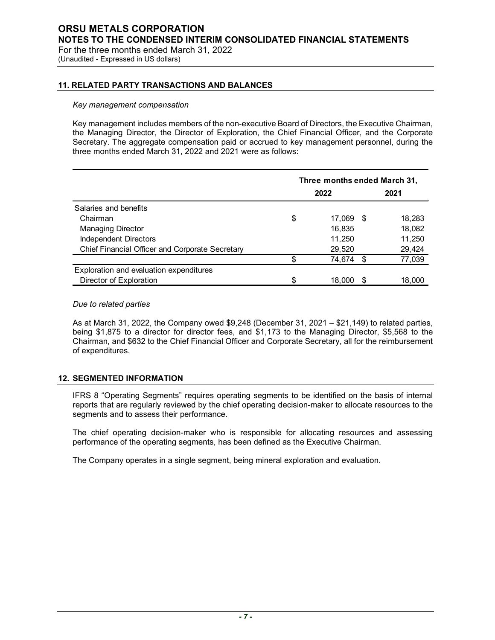(Unaudited - Expressed in US dollars)

### **11. RELATED PARTY TRANSACTIONS AND BALANCES**

#### *Key management compensation*

Key management includes members of the non-executive Board of Directors, the Executive Chairman, the Managing Director, the Director of Exploration, the Chief Financial Officer, and the Corporate Secretary. The aggregate compensation paid or accrued to key management personnel, during the three months ended March 31, 2022 and 2021 were as follows:

|                                                 |      | Three months ended March 31, |      |        |  |
|-------------------------------------------------|------|------------------------------|------|--------|--|
|                                                 | 2022 |                              |      | 2021   |  |
| Salaries and benefits                           |      |                              |      |        |  |
| Chairman                                        | \$   | 17.069                       | - \$ | 18,283 |  |
| <b>Managing Director</b>                        |      | 16,835                       |      | 18,082 |  |
| Independent Directors                           |      | 11,250                       |      | 11,250 |  |
| Chief Financial Officer and Corporate Secretary |      | 29,520                       |      | 29,424 |  |
|                                                 | \$   | 74,674                       | - \$ | 77,039 |  |
| Exploration and evaluation expenditures         |      |                              |      |        |  |
| Director of Exploration                         | \$   | 18.000                       |      | 18,000 |  |

### *Due to related parties*

As at March 31, 2022, the Company owed \$9,248 (December 31, 2021 – \$21,149) to related parties, being \$1,875 to a director for director fees, and \$1,173 to the Managing Director, \$5,568 to the Chairman, and \$632 to the Chief Financial Officer and Corporate Secretary, all for the reimbursement of expenditures.

### **12. SEGMENTED INFORMATION**

IFRS 8 "Operating Segments" requires operating segments to be identified on the basis of internal reports that are regularly reviewed by the chief operating decision-maker to allocate resources to the segments and to assess their performance.

The chief operating decision-maker who is responsible for allocating resources and assessing performance of the operating segments, has been defined as the Executive Chairman.

The Company operates in a single segment, being mineral exploration and evaluation.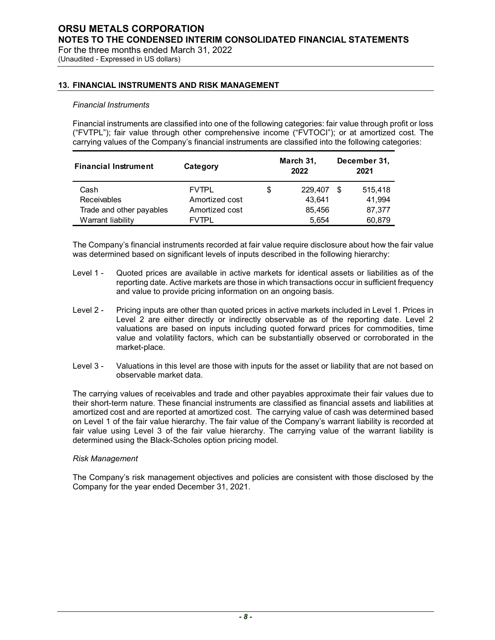(Unaudited - Expressed in US dollars)

### **13. FINANCIAL INSTRUMENTS AND RISK MANAGEMENT**

### *Financial Instruments*

Financial instruments are classified into one of the following categories: fair value through profit or loss ("FVTPL"); fair value through other comprehensive income ("FVTOCI"); or at amortized cost. The carrying values of the Company's financial instruments are classified into the following categories:

| <b>Financial Instrument</b> | Category       |   | March 31,<br>2022 |  | December 31,<br>2021 |  |
|-----------------------------|----------------|---|-------------------|--|----------------------|--|
| Cash                        | <b>FVTPL</b>   | S | 229.407           |  | 515,418              |  |
| <b>Receivables</b>          | Amortized cost |   | 43.641            |  | 41.994               |  |
| Trade and other payables    | Amortized cost |   | 85.456            |  | 87,377               |  |
| Warrant liability           | <b>FVTPI</b>   |   | 5.654             |  | 60,879               |  |

The Company's financial instruments recorded at fair value require disclosure about how the fair value was determined based on significant levels of inputs described in the following hierarchy:

- Level 1 Quoted prices are available in active markets for identical assets or liabilities as of the reporting date. Active markets are those in which transactions occur in sufficient frequency and value to provide pricing information on an ongoing basis.
- Level 2 Pricing inputs are other than quoted prices in active markets included in Level 1. Prices in Level 2 are either directly or indirectly observable as of the reporting date. Level 2 valuations are based on inputs including quoted forward prices for commodities, time value and volatility factors, which can be substantially observed or corroborated in the market-place.
- Level 3 Valuations in this level are those with inputs for the asset or liability that are not based on observable market data.

The carrying values of receivables and trade and other payables approximate their fair values due to their short-term nature. These financial instruments are classified as financial assets and liabilities at amortized cost and are reported at amortized cost. The carrying value of cash was determined based on Level 1 of the fair value hierarchy. The fair value of the Company's warrant liability is recorded at fair value using Level 3 of the fair value hierarchy. The carrying value of the warrant liability is determined using the Black-Scholes option pricing model.

#### *Risk Management*

The Company's risk management objectives and policies are consistent with those disclosed by the Company for the year ended December 31, 2021.